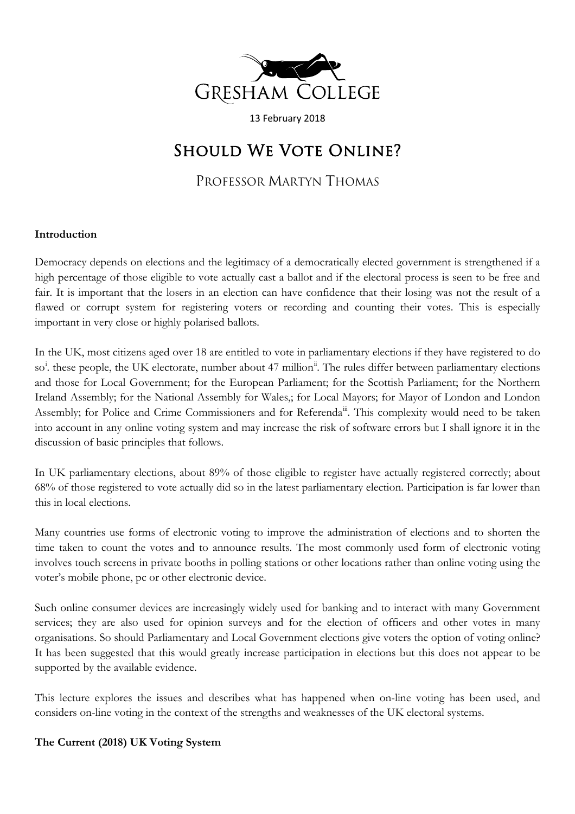

13 February 2018

# SHOULD WE VOTE ONLINE?

PROFESSOR MARTYN THOMAS

## **Introduction**

Democracy depends on elections and the legitimacy of a democratically elected government is strengthened if a high percentage of those eligible to vote actually cast a ballot and if the electoral process is seen to be free and fair. It is important that the losers in an election can have confidence that their losing was not the result of a flawed or corrupt system for registering voters or recording and counting their votes. This is especially important in very close or highly polarised ballots.

In the UK, most citizens aged over 18 are entitled to vote in parliamentary elections if they have registered to do so<sup>[i](#page-11-0)</sup>. these people, the UK electorate, number about 47 million<sup>[ii](#page-11-1)</sup>. The rules differ between parliamentary elections and those for Local Government; for the European Parliament; for the Scottish Parliament; for the Northern Ireland Assembly; for the National Assembly for Wales,; for Local Mayors; for Mayor of London and London Assembly; for Police and Crime Commissioners and for Referenda<sup>ii</sup>. This complexity would need to be taken into account in any online voting system and may increase the risk of software errors but I shall ignore it in the discussion of basic principles that follows.

In UK parliamentary elections, about 89% of those eligible to register have actually registered correctly; about 68% of those registered to vote actually did so in the latest parliamentary election. Participation is far lower than this in local elections.

Many countries use forms of electronic voting to improve the administration of elections and to shorten the time taken to count the votes and to announce results. The most commonly used form of electronic voting involves touch screens in private booths in polling stations or other locations rather than online voting using the voter's mobile phone, pc or other electronic device.

Such online consumer devices are increasingly widely used for banking and to interact with many Government services; they are also used for opinion surveys and for the election of officers and other votes in many organisations. So should Parliamentary and Local Government elections give voters the option of voting online? It has been suggested that this would greatly increase participation in elections but this does not appear to be supported by the available evidence.

This lecture explores the issues and describes what has happened when on-line voting has been used, and considers on-line voting in the context of the strengths and weaknesses of the UK electoral systems.

# **The Current (2018) UK Voting System**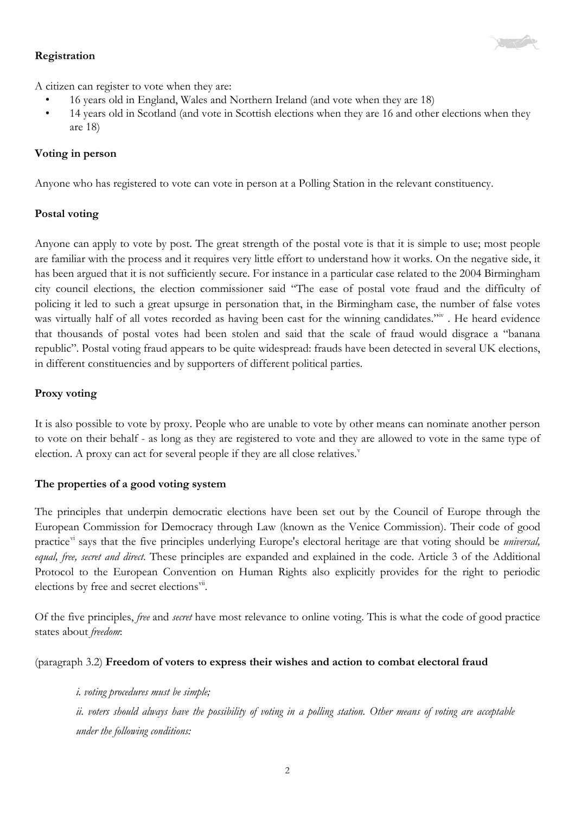

## **Registration**

A citizen can register to vote when they are:

- 16 years old in England, Wales and Northern Ireland (and vote when they are 18)
- 14 years old in Scotland (and vote in Scottish elections when they are 16 and other elections when they are 18)

## **Voting in person**

Anyone who has registered to vote can vote in person at a Polling Station in the relevant constituency.

## **Postal voting**

Anyone can apply to vote by post. The great strength of the postal vote is that it is simple to use; most people are familiar with the process and it requires very little effort to understand how it works. On the negative side, it has been argued that it is not sufficiently secure. For instance in a particular case related to the 2004 Birmingham city council elections, the election commissioner said "The ease of postal vote fraud and the difficulty of policing it led to such a great upsurge in personation that, in the Birmingham case, the number of false votes was virtually half of all votes recorded as having been cast for the winning candidates."<sup>iv</sup>. He heard evidence that thousands of postal votes had been stolen and said that the scale of fraud would disgrace a "banana republic". Postal voting fraud appears to be quite widespread: frauds have been detected in several UK elections, in different constituencies and by supporters of different political parties.

## **Proxy voting**

It is also possible to vote by proxy. People who are unable to vote by other means can nominate another person to vote on their behalf - as long as they are registered to vote and they are allowed to vote in the same type of election. A proxy can act for se[v](#page-11-4)eral people if they are all close relatives. $v$ 

#### **The properties of a good voting system**

The principles that underpin democratic elections have been set out by the Council of Europe through the European Commission for Democracy through Law (known as the Venice Commission). Their code of good practice<sup>[vi](#page-11-5)</sup> says that the five principles underlying Europe's electoral heritage are that voting should be *universal*, *equal, free, secret and direct*. These principles are expanded and explained in the code. Article 3 of the Additional Protocol to the European Convention on Human Rights also explicitly provides for the right to periodic elections by free and secret elections<sup>[vii](#page-11-6)</sup>.

Of the five principles, *free* and *secret* have most relevance to online voting. This is what the code of good practice states about *freedom*:

#### (paragraph 3.2) **Freedom of voters to express their wishes and action to combat electoral fraud**

*i. voting procedures must be simple;* ii. voters should always have the possibility of voting in a polling station. Other means of voting are acceptable *under the following conditions:*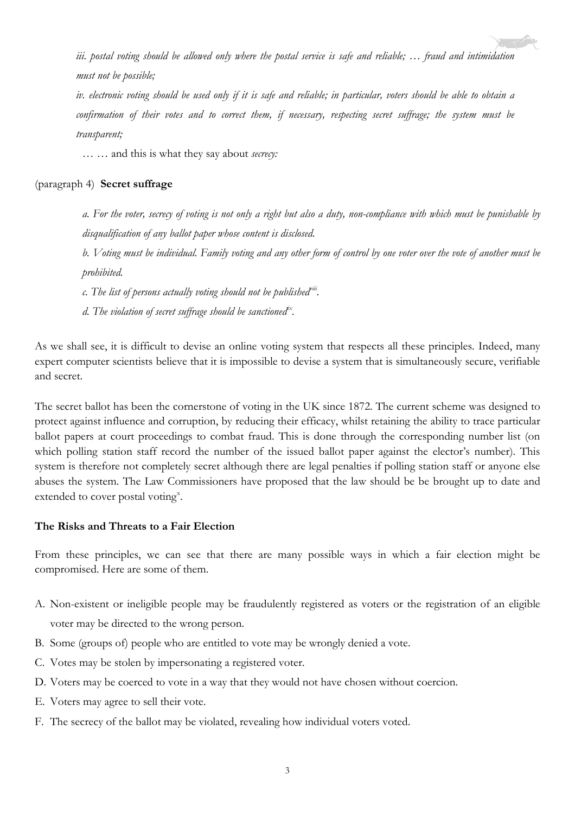iii, postal voting should be allowed only where the postal service is safe and reliable; ... fraud and intimidation *must not be possible;*

iv. electronic voting should be used only if it is safe and reliable; in particular, voters should be able to obtain a confirmation of their votes and to correct them, if necessary, respecting secret suffrage; the system must be *transparent;*

*… …* and this is what they say about *secrecy:*

#### (paragraph 4) **Secret suffrage**

a. For the voter, secrecy of voting is not only a right but also a duty, non-compliance with which must be punishable by *disqualification of any ballot paper whose content is disclosed.*

b. Voting must be individual. Family voting and any other form of control by one voter over the vote of another must be *prohibited.*

*c. The list of persons actually voting should not be published[viii.](#page-11-7)*

*d. The violation of secret suffrage should be sanctioned[ix](#page-11-8).*

As we shall see, it is difficult to devise an online voting system that respects all these principles. Indeed, many expert computer scientists believe that it is impossible to devise a system that is simultaneously secure, verifiable and secret.

The secret ballot has been the cornerstone of voting in the UK since 1872. The current scheme was designed to protect against influence and corruption, by reducing their efficacy, whilst retaining the ability to trace particular ballot papers at court proceedings to combat fraud. This is done through the corresponding number list (on which polling station staff record the number of the issued ballot paper against the elector's number). This system is therefore not completely secret although there are legal penalties if polling station staff or anyone else abuses the system. The Law Commissioners have proposed that the law should be be brought up to date and e[x](#page-11-9)tended to cover postal voting<sup>x</sup>.

#### **The Risks and Threats to a Fair Election**

From these principles, we can see that there are many possible ways in which a fair election might be compromised. Here are some of them.

- A. Non-existent or ineligible people may be fraudulently registered as voters or the registration of an eligible voter may be directed to the wrong person.
- B. Some (groups of) people who are entitled to vote may be wrongly denied a vote.
- C. Votes may be stolen by impersonating a registered voter.
- D. Voters may be coerced to vote in a way that they would not have chosen without coercion.
- E. Voters may agree to sell their vote.
- F. The secrecy of the ballot may be violated, revealing how individual voters voted.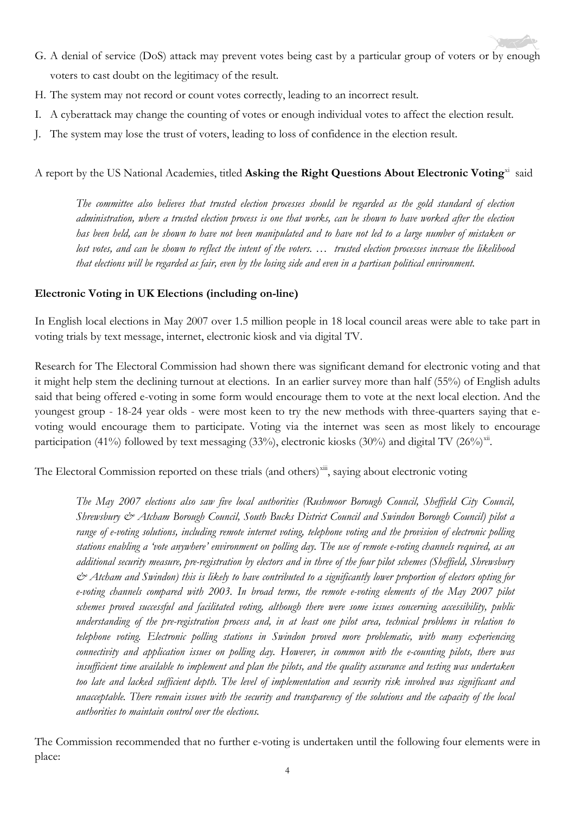- G. A denial of service (DoS) attack may prevent votes being cast by a particular group of voters or by enough voters to cast doubt on the legitimacy of the result.
- H. The system may not record or count votes correctly, leading to an incorrect result.
- I. A cyberattack may change the counting of votes or enough individual votes to affect the election result.
- J. The system may lose the trust of voters, leading to loss of confidence in the election result.

A report by the US National Academies, titled **Asking the Right Questions About Electronic Voting**[xi](#page-11-10) said

The committee also believes that trusted election processes should be regarded as the gold standard of election administration, where a trusted election process is one that works, can be shown to have worked after the election has been held, can be shown to have not been manipulated and to have not led to a large number of mistaken or lost votes, and can be shown to reflect the intent of the voters. ... trusted election processes increase the likelihood that elections will be regarded as fair, even by the losing side and even in a partisan political environment.

#### **Electronic Voting in UK Elections (including on-line)**

In English local elections in May 2007 over 1.5 million people in 18 local council areas were able to take part in voting trials by text message, internet, electronic kiosk and via digital TV.

Research for The Electoral Commission had shown there was significant demand for electronic voting and that it might help stem the declining turnout at elections. In an earlier survey more than half (55%) of English adults said that being offered e-voting in some form would encourage them to vote at the next local election. And the youngest group - 18-24 year olds - were most keen to try the new methods with three-quarters saying that evoting would encourage them to participate. Voting via the internet was seen as most likely to encourage participation (41%) followed by text messaging (33%), electronic kiosks (30%) and digital TV (26%)<sup>xii</sup>.

The Electoral Commission reported on these trials (and others)<sup>[xiii](#page-11-12)</sup>, saying about electronic voting

*The May 2007 elections also saw five local authorities (Rushmoor Borough Council, Sheffield City Council, Shrewsbury & Atcham Borough Council, South Bucks District Council and Swindon Borough Council) pilot a* range of e-voting solutions, including remote internet voting, telephone voting and the provision of electronic polling stations enabling a 'vote anywhere' environment on polling day. The use of remote e-voting channels required, as an additional security measure, pre-registration by electors and in three of the four pilot schemes (Sheffield, Shrewsbury  $\dot{\mathcal{C}}$  Atcham and Swindon) this is likely to have contributed to a significantly lower proportion of electors opting for *e-voting channels compared with 2003. In broad terms, the remote e-voting elements of the May 2007 pilot schemes proved successful and facilitated voting, although there were some issues concerning accessibility, public* understanding of the pre-registration process and, in at least one pilot area, technical problems in relation to *telephone voting. Electronic polling stations in Swindon proved more problematic, with many experiencing connectivity and application issues on polling day. However, in common with the e-counting pilots, there was* insufficient time available to implement and plan the pilots, and the quality assurance and testing was undertaken too late and lacked sufficient depth. The level of implementation and security risk involved was significant and unacceptable. There remain issues with the security and transparency of the solutions and the capacity of the local *authorities to maintain control over the elections.*

The Commission recommended that no further e-voting is undertaken until the following four elements were in place: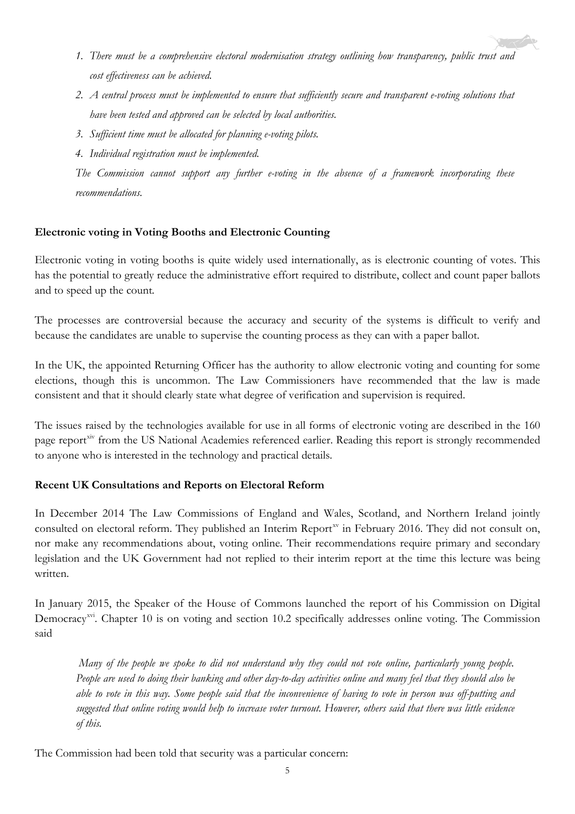- *1. There must be a comprehensive electoral modernisation strategy outlining how transparency, public trust and cost effectiveness can be achieved.*
- 2. A central process must be implemented to ensure that sufficiently secure and transparent e-voting solutions that *have been tested and approved can be selected by local authorities.*
- *3. Sufficient time must be allocated for planning e-voting pilots.*
- *4. Individual registration must be implemented.*

*The Commission cannot support any further e-voting in the absence of a framework incorporating these recommendations.*

# **Electronic voting in Voting Booths and Electronic Counting**

Electronic voting in voting booths is quite widely used internationally, as is electronic counting of votes. This has the potential to greatly reduce the administrative effort required to distribute, collect and count paper ballots and to speed up the count.

The processes are controversial because the accuracy and security of the systems is difficult to verify and because the candidates are unable to supervise the counting process as they can with a paper ballot.

In the UK, the appointed Returning Officer has the authority to allow electronic voting and counting for some elections, though this is uncommon. The Law Commissioners have recommended that the law is made consistent and that it should clearly state what degree of verification and supervision is required.

The issues raised by the technologies available for use in all forms of electronic voting are described in the 160 page report<sup>[xiv](#page-11-13)</sup> from the US National Academies referenced earlier. Reading this report is strongly recommended to anyone who is interested in the technology and practical details.

# **Recent UK Consultations and Reports on Electoral Reform**

In December 2014 The Law Commissions of England and Wales, Scotland, and Northern Ireland jointly consulted on electoral reform. They published an Interim Report<sup>[xv](#page-11-14)</sup> in February 2016. They did not consult on, nor make any recommendations about, voting online. Their recommendations require primary and secondary legislation and the UK Government had not replied to their interim report at the time this lecture was being written.

In January 2015, the Speaker of the House of Commons launched the report of his Commission on Digital Democracy<sup>[xvi](#page-11-15)</sup>. Chapter 10 is on voting and section 10.2 specifically addresses online voting. The Commission said

Many of the people we spoke to did not understand why they could not vote online, particularly young people. People are used to doing their banking and other day-to-day activities online and many feel that they should also be able to vote in this way. Some people said that the inconvenience of having to vote in person was off-putting and suggested that online voting would help to increase voter turnout. However, others said that there was little evidence *of this.*

The Commission had been told that security was a particular concern: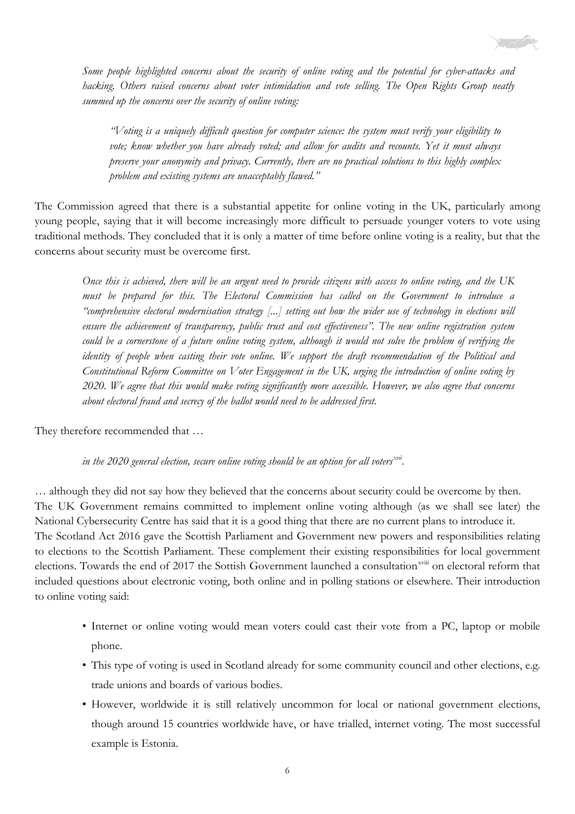

*Some people highlighted concerns about the security of online voting and the potential for cyber-attacks and hacking. Others raised concerns about voter intimidation and vote selling. The Open Rights Group neatly summed up the concerns over the security of online voting:*

*"Voting is a uniquely difficult question for computer science: the system must verify your eligibility to vote; know whether you have already voted; and allow for audits and recounts. Yet it must always preserve your anonymity and privacy. Currently, there are no practical solutions to this highly complex problem and existing systems are unacceptably flawed."*

The Commission agreed that there is a substantial appetite for online voting in the UK, particularly among young people, saying that it will become increasingly more difficult to persuade younger voters to vote using traditional methods. They concluded that it is only a matter of time before online voting is a reality, but that the concerns about security must be overcome first.

Once this is achieved, there will be an urgent need to provide citizens with access to online voting, and the UK *must be prepared for this. The Electoral Commission has called on the Government to introduce a* "comprehensive electoral modernisation strategy [...] setting out how the wider use of technology in elections will *ensure the achievement of transparency, public trust and cost effectiveness". The new online registration system* could be a cornerstone of a future online voting system, although it would not solve the problem of verifying the identity of people when casting their vote online. We support the draft recommendation of the Political and *Constitutional Reform Committee on Voter Engagement in the UK, urging the introduction of online voting by* 2020. We agree that this would make voting significantly more accessible. However, we also agree that concerns *about electoral fraud and secrecy of the ballot would need to be addressed first.*

They therefore recommended that …

*in the 2020 general election, secure online voting should be an option for all voters[xvii.](#page-11-16)*

… although they did not say how they believed that the concerns about security could be overcome by then. The UK Government remains committed to implement online voting although (as we shall see later) the National Cybersecurity Centre has said that it is a good thing that there are no current plans to introduce it. The Scotland Act 2016 gave the Scottish Parliament and Government new powers and responsibilities relating to elections to the Scottish Parliament. These complement their existing responsibilities for local government elections. Towards the end of 2017 the Sottish Government launched a consultation<sup>xviii</sup> on electoral reform that included questions about electronic voting, both online and in polling stations or elsewhere. Their introduction to online voting said:

- Internet or online voting would mean voters could cast their vote from a PC, laptop or mobile phone.
- This type of voting is used in Scotland already for some community council and other elections, e.g. trade unions and boards of various bodies.
- However, worldwide it is still relatively uncommon for local or national government elections, though around 15 countries worldwide have, or have trialled, internet voting. The most successful example is Estonia.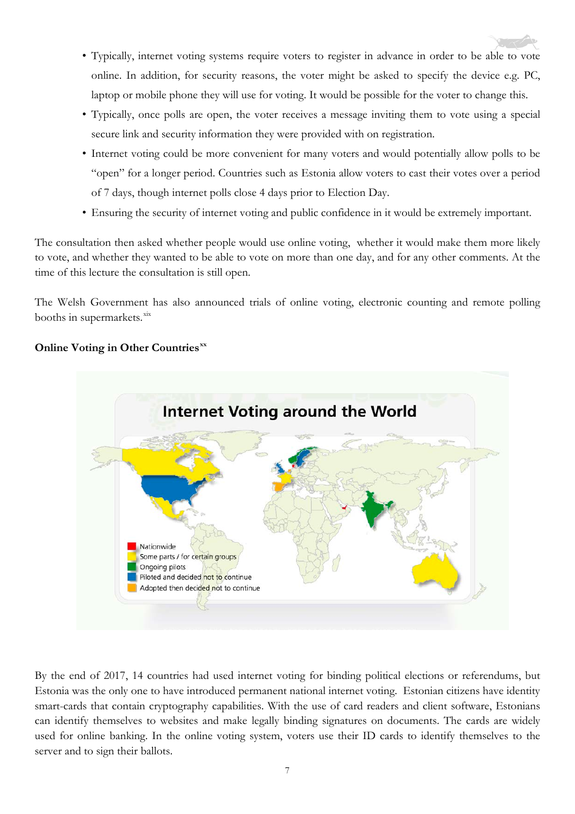- Typically, internet voting systems require voters to register in advance in order to be able to vote online. In addition, for security reasons, the voter might be asked to specify the device e.g. PC, laptop or mobile phone they will use for voting. It would be possible for the voter to change this.
- Typically, once polls are open, the voter receives a message inviting them to vote using a special secure link and security information they were provided with on registration.
- Internet voting could be more convenient for many voters and would potentially allow polls to be "open" for a longer period. Countries such as Estonia allow voters to cast their votes over a period of 7 days, though internet polls close 4 days prior to Election Day.
- Ensuring the security of internet voting and public confidence in it would be extremely important.

The consultation then asked whether people would use online voting, whether it would make them more likely to vote, and whether they wanted to be able to vote on more than one day, and for any other comments. At the time of this lecture the consultation is still open.

The Welsh Government has also announced trials of online voting, electronic counting and remote polling booths in supermarkets.<sup>[xix](#page-11-17)</sup>

# **Online Voting in Other Countries[xx](#page-11-18)**



By the end of 2017, 14 countries had used internet voting for binding political elections or referendums, but Estonia was the only one to have introduced permanent national internet voting. Estonian citizens have identity smart-cards that contain cryptography capabilities. With the use of card readers and client software, Estonians can identify themselves to websites and make legally binding signatures on documents. The cards are widely used for online banking. In the online voting system, voters use their ID cards to identify themselves to the server and to sign their ballots.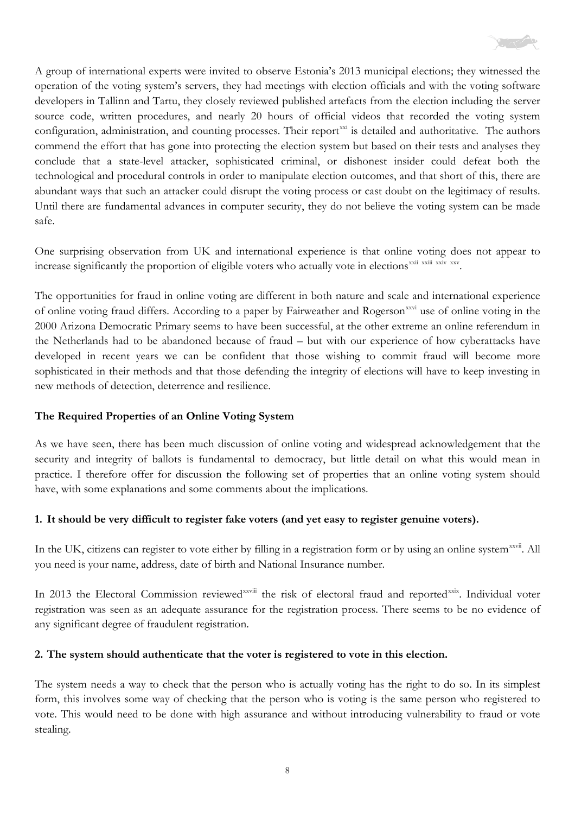

A group of international experts were invited to observe Estonia's 2013 municipal elections; they witnessed the operation of the voting system's servers, they had meetings with election officials and with the voting software developers in Tallinn and Tartu, they closely reviewed published artefacts from the election including the server source code, written procedures, and nearly 20 hours of official videos that recorded the voting system configuration, administration, and counting processes. Their report<sup>[xxi](#page-11-19)</sup> is detailed and authoritative. The authors commend the effort that has gone into protecting the election system but based on their tests and analyses they conclude that a state-level attacker, sophisticated criminal, or dishonest insider could defeat both the technological and procedural controls in order to manipulate election outcomes, and that short of this, there are abundant ways that such an attacker could disrupt the voting process or cast doubt on the legitimacy of results. Until there are fundamental advances in computer security, they do not believe the voting system can be made safe.

One surprising observation from UK and international experience is that online voting does not appear to increase significantly the proportion of eligible voters who actually vote in elections<sup>[xxii](#page-11-20)</sup> xx[i](#page-11-21)v [xxv.](#page-11-23)

The opportunities for fraud in online voting are different in both nature and scale and international experience of online voting fraud differs. According to a paper by Fairweather and Rogerson<sup>[xxvi](#page-11-24)</sup> use of online voting in the 2000 Arizona Democratic Primary seems to have been successful, at the other extreme an online referendum in the Netherlands had to be abandoned because of fraud – but with our experience of how cyberattacks have developed in recent years we can be confident that those wishing to commit fraud will become more sophisticated in their methods and that those defending the integrity of elections will have to keep investing in new methods of detection, deterrence and resilience.

#### **The Required Properties of an Online Voting System**

As we have seen, there has been much discussion of online voting and widespread acknowledgement that the security and integrity of ballots is fundamental to democracy, but little detail on what this would mean in practice. I therefore offer for discussion the following set of properties that an online voting system should have, with some explanations and some comments about the implications.

#### **1. It should be very difficult to register fake voters (and yet easy to register genuine voters).**

In the UK, citizens can register to vote either by filling in a registration form or by using an online system<sup>xxvii</sup>[.](#page-11-25) All you need is your name, address, date of birth and National Insurance number.

In 2013 the Electoral Commission reviewed<sup>xxviii</sup> the risk of electoral fraud and reported<sup>[xxix](#page-11-26)</sup>. Individual voter registration was seen as an adequate assurance for the registration process. There seems to be no evidence of any significant degree of fraudulent registration.

#### **2. The system should authenticate that the voter is registered to vote in this election.**

The system needs a way to check that the person who is actually voting has the right to do so. In its simplest form, this involves some way of checking that the person who is voting is the same person who registered to vote. This would need to be done with high assurance and without introducing vulnerability to fraud or vote stealing.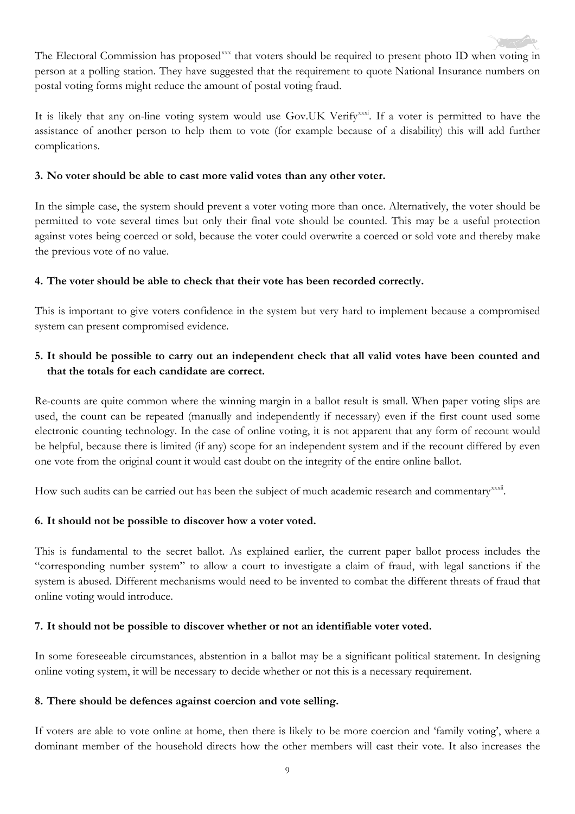The Electoral Commission has proposed<sup>[xxx](#page-12-0)</sup> that voters should be required to present photo ID when voting in person at a polling station. They have suggested that the requirement to quote National Insurance numbers on postal voting forms might reduce the amount of postal voting fraud.

It is likely that any on-line voting system would use Gov.UK Verify<sup>xxxi</sup>. If a voter is permitted to have the assistance of another person to help them to vote (for example because of a disability) this will add further complications.

# **3. No voter should be able to cast more valid votes than any other voter.**

In the simple case, the system should prevent a voter voting more than once. Alternatively, the voter should be permitted to vote several times but only their final vote should be counted. This may be a useful protection against votes being coerced or sold, because the voter could overwrite a coerced or sold vote and thereby make the previous vote of no value.

# **4. The voter should be able to check that their vote has been recorded correctly.**

This is important to give voters confidence in the system but very hard to implement because a compromised system can present compromised evidence.

# 5. It should be possible to carry out an independent check that all valid votes have been counted and **that the totals for each candidate are correct.**

Re-counts are quite common where the winning margin in a ballot result is small. When paper voting slips are used, the count can be repeated (manually and independently if necessary) even if the first count used some electronic counting technology. In the case of online voting, it is not apparent that any form of recount would be helpful, because there is limited (if any) scope for an independent system and if the recount differed by even one vote from the original count it would cast doubt on the integrity of the entire online ballot.

How such audits can be carried out has been the subject of much academic research and commentary<sup>xxxii</sup>.

# **6. It should not be possible to discover how a voter voted.**

This is fundamental to the secret ballot. As explained earlier, the current paper ballot process includes the "corresponding number system" to allow a court to investigate a claim of fraud, with legal sanctions if the system is abused. Different mechanisms would need to be invented to combat the different threats of fraud that online voting would introduce.

# **7. It should not be possible to discover whether or not an identifiable voter voted.**

In some foreseeable circumstances, abstention in a ballot may be a significant political statement. In designing online voting system, it will be necessary to decide whether or not this is a necessary requirement.

# **8. There should be defences against coercion and vote selling.**

If voters are able to vote online at home, then there is likely to be more coercion and 'family voting', where a dominant member of the household directs how the other members will cast their vote. It also increases the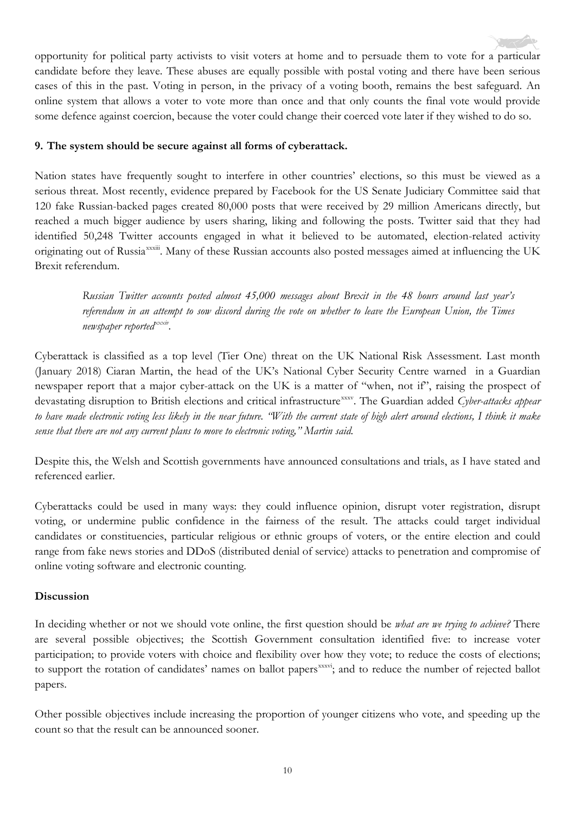opportunity for political party activists to visit voters at home and to persuade them to vote for a particular candidate before they leave. These abuses are equally possible with postal voting and there have been serious cases of this in the past. Voting in person, in the privacy of a voting booth, remains the best safeguard. An online system that allows a voter to vote more than once and that only counts the final vote would provide some defence against coercion, because the voter could change their coerced vote later if they wished to do so.

## **9. The system should be secure against all forms of cyberattack.**

Nation states have frequently sought to interfere in other countries' elections, so this must be viewed as a serious threat. Most recently, evidence prepared by Facebook for the US Senate Judiciary Committee said that 120 fake Russian-backed pages created 80,000 posts that were received by 29 million Americans directly, but reached a much bigger audience by users sharing, liking and following the posts. Twitter said that they had identified 50,248 Twitter accounts engaged in what it believed to be automated, election-related activity originating out of Russia<sup>xxxii</sup>[.](#page-12-3) Many of these Russian accounts also posted messages aimed at influencing the UK Brexit referendum.

*Russian Twitter accounts posted almost 45,000 messages about Brexit in the 48 hours around last year's* referendum in an attempt to sow discord during the vote on whether to leave the European Union, the Times *newspaper reportedxxxi[v.](#page-12-4)*

Cyberattack is classified as a top level (Tier One) threat on the UK National Risk Assessment. Last month (January 2018) Ciaran Martin, the head of the UK's National Cyber Security Centre warned in a Guardian newspaper report that a major cyber-attack on the UK is a matter of "when, not if", raising the prospect of devastating disruption to British elections and critical infrastructure<sup>[xxxv](#page-12-5)</sup>. The Guardian added *Cyber-attacks appear* to have made electronic voting less likely in the near future. "With the current state of high alert around elections, I think it make *sense that there are not any current plans to move to electronic voting," Martin said.* 

Despite this, the Welsh and Scottish governments have announced consultations and trials, as I have stated and referenced earlier.

Cyberattacks could be used in many ways: they could influence opinion, disrupt voter registration, disrupt voting, or undermine public confidence in the fairness of the result. The attacks could target individual candidates or constituencies, particular religious or ethnic groups of voters, or the entire election and could range from fake news stories and DDoS (distributed denial of service) attacks to penetration and compromise of online voting software and electronic counting.

#### **Discussion**

In deciding whether or not we should vote online, the first question should be *what are we trying to achieve?* There are several possible objectives; the Scottish Government consultation identified five: to increase voter participation; to provide voters with choice and flexibility over how they vote; to reduce the costs of elections; to support the rotation of candidates' names on ballot papers<sup>xxxvi</sup>[;](#page-12-6) and to reduce the number of rejected ballot papers.

Other possible objectives include increasing the proportion of younger citizens who vote, and speeding up the count so that the result can be announced sooner.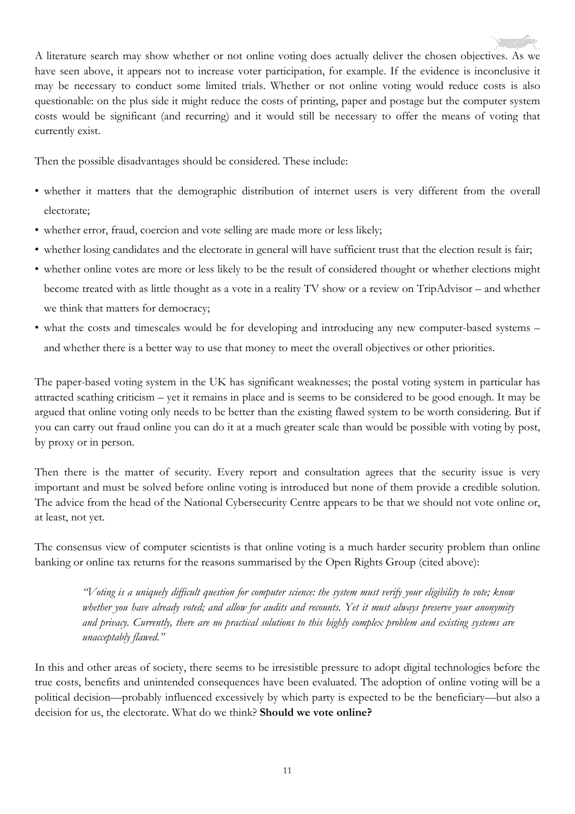A literature search may show whether or not online voting does actually deliver the chosen objectives. As we have seen above, it appears not to increase voter participation, for example. If the evidence is inconclusive it may be necessary to conduct some limited trials. Whether or not online voting would reduce costs is also questionable: on the plus side it might reduce the costs of printing, paper and postage but the computer system costs would be significant (and recurring) and it would still be necessary to offer the means of voting that currently exist.

Then the possible disadvantages should be considered. These include:

- whether it matters that the demographic distribution of internet users is very different from the overall electorate;
- whether error, fraud, coercion and vote selling are made more or less likely;
- whether losing candidates and the electorate in general will have sufficient trust that the election result is fair;
- whether online votes are more or less likely to be the result of considered thought or whether elections might become treated with as little thought as a vote in a reality TV show or a review on TripAdvisor – and whether we think that matters for democracy;
- what the costs and timescales would be for developing and introducing any new computer-based systems and whether there is a better way to use that money to meet the overall objectives or other priorities.

The paper-based voting system in the UK has significant weaknesses; the postal voting system in particular has attracted scathing criticism – yet it remains in place and is seems to be considered to be good enough. It may be argued that online voting only needs to be better than the existing flawed system to be worth considering. But if you can carry out fraud online you can do it at a much greater scale than would be possible with voting by post, by proxy or in person.

Then there is the matter of security. Every report and consultation agrees that the security issue is very important and must be solved before online voting is introduced but none of them provide a credible solution. The advice from the head of the National Cybersecurity Centre appears to be that we should not vote online or, at least, not yet.

The consensus view of computer scientists is that online voting is a much harder security problem than online banking or online tax returns for the reasons summarised by the Open Rights Group (cited above):

"Voting is a uniquely difficult question for computer science: the system must verify your eligibility to vote; know whether you have already voted; and allow for audits and recounts. Yet it must always preserve your anonymity and privacy. Currently, there are no practical solutions to this highly complex problem and existing systems are *unacceptably flawed."*

In this and other areas of society, there seems to be irresistible pressure to adopt digital technologies before the true costs, benefits and unintended consequences have been evaluated. The adoption of online voting will be a political decision—probably influenced excessively by which party is expected to be the beneficiary—but also a decision for us, the electorate. What do we think? **Should we vote online?**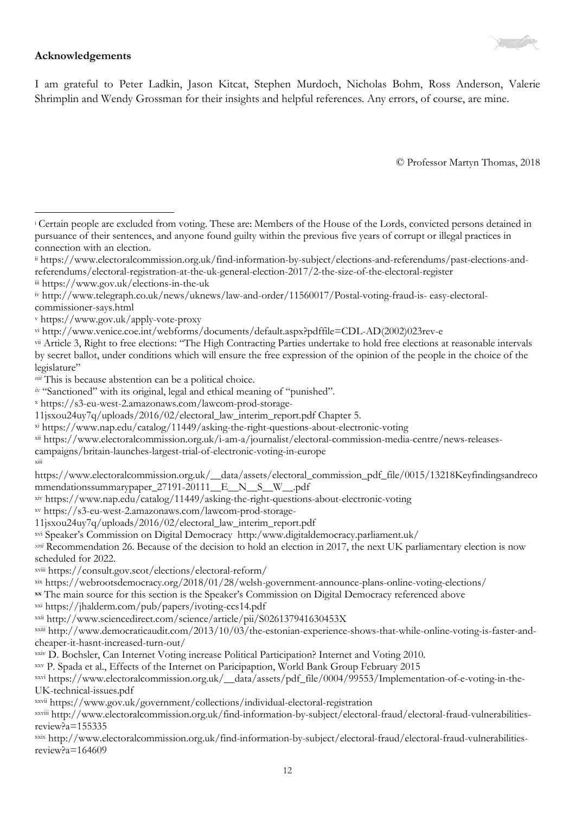

#### **Acknowledgements**

I am grateful to Peter Ladkin, Jason Kitcat, Stephen Murdoch, Nicholas Bohm, Ross Anderson, Valerie Shrimplin and Wendy Grossman for their insights and helpful references. Any errors, of course, are mine.

© Professor Martyn Thomas, 2018

<span id="page-11-0"></span> $\overline{a}$ <sup>i</sup> Certain people are excluded from voting. These are: Members of the House of the Lords, convicted persons detained in pursuance of their sentences, and anyone found guilty within the previous five years of corrupt or illegal practices in connection with an election.

- <span id="page-11-1"></span>ii https://www.electoralcommission.org.uk/find-information-by-subject/elections-and-referendums/past-elections-and-
- referendums/electoral-registration-at-the-uk-general-election-2017/2-the-size-of-the-electoral-register
- <span id="page-11-2"></span>iii https://www.gov.uk/elections-in-the-uk

<span id="page-11-4"></span><sup>v</sup> https://www.gov.uk/apply-vote-proxy

- <span id="page-11-6"></span>vii Article 3, Right to free elections: "The High Contracting Parties undertake to hold free elections at reasonable intervals by secret ballot, under conditions which will ensure the free expression of the opinion of the people in the choice of the legislature"
- <span id="page-11-7"></span>*viii* This is because abstention can be a political choice.
- <span id="page-11-8"></span>*ix* "Sanctioned" with its original, legal and ethical meaning of "punished".
- <span id="page-11-9"></span><sup>x</sup> https://s3-eu-west-2.amazonaws.com/lawcom-prod-storage-
- 11jsxou24uy7q/uploads/2016/02/electoral\_law\_interim\_report.pdf Chapter 5.
- <span id="page-11-10"></span>xi https://www.nap.edu/catalog/11449/asking-the-right-questions-about-electronic-voting
- <span id="page-11-11"></span>xii https://www.electoralcommission.org.uk/i-am-a/journalist/electoral-commission-media-centre/news-releases-
- campaigns/britain-launches-largest-trial-of-electronic-voting-in-europe
- xiii

<span id="page-11-12"></span>https://www.electoralcommission.org.uk/\_\_data/assets/electoral\_commission\_pdf\_file/0015/13218Keyfindingsandreco mmendationssummarypaper\_27191-20111\_\_E\_\_N\_\_S\_\_W\_\_.pdf

- <span id="page-11-13"></span>xiv https://www.nap.edu/catalog/11449/asking-the-right-questions-about-electronic-voting
- <span id="page-11-14"></span>xv https://s3-eu-west-2.amazonaws.com/lawcom-prod-storage-

11jsxou24uy7q/uploads/2016/02/electoral\_law\_interim\_report.pdf

<span id="page-11-15"></span>xvi Speaker's Commission on Digital Democracy http:/www.digitaldemocracy.parliament.uk/

<span id="page-11-16"></span>*xvii* Recommendation 26. Because of the decision to hold an election in 2017, the next UK parliamentary election is now scheduled for 2022.

- xviii https://consult.gov.scot/elections/electoral-reform/
- <span id="page-11-17"></span>xix https://webrootsdemocracy.org/2018/01/28/welsh-government-announce-plans-online-voting-elections/

<span id="page-11-18"></span>**xx** The main source for this section is the Speaker's Commission on Digital Democracy referenced above

<span id="page-11-19"></span>xxi https://jhalderm.com/pub/papers/ivoting-ccs14.pdf

<span id="page-11-20"></span>xxii http://www.sciencedirect.com/science/article/pii/S026137941630453X

<span id="page-11-21"></span>xxiii http://www.democraticaudit.com/2013/10/03/the-estonian-experience-shows-that-while-online-voting-is-faster-andcheaper-it-hasnt-increased-turn-out/

<span id="page-11-22"></span>xxiv D. Bochsler, Can Internet Voting increase Political Participation? Internet and Voting 2010.

<span id="page-11-23"></span>xxv P. Spada et al., Effects of the Internet on Paricipaption, World Bank Group February 2015

<span id="page-11-24"></span>xxvi https://www.electoralcommission.org.uk/\_\_data/assets/pdf\_file/0004/99553/Implementation-of-e-voting-in-the-UK-technical-issues.pdf

<span id="page-11-25"></span>xxvii https://www.gov.uk/government/collections/individual-electoral-registration

xxviii http://www.electoralcommission.org.uk/find-information-by-subject/electoral-fraud/electoral-fraud-vulnerabilitiesreview?a=155335

<span id="page-11-26"></span>xxix http://www.electoralcommission.org.uk/find-information-by-subject/electoral-fraud/electoral-fraud-vulnerabilitiesreview?a=164609

<span id="page-11-3"></span>iv http://www.telegraph.co.uk/news/uknews/law-and-order/11560017/Postal-voting-fraud-is- easy-electoralcommissioner-says.html

<span id="page-11-5"></span>vi http://www.venice.coe.int/webforms/documents/default.aspx?pdffile=CDL-AD(2002)023rev-e